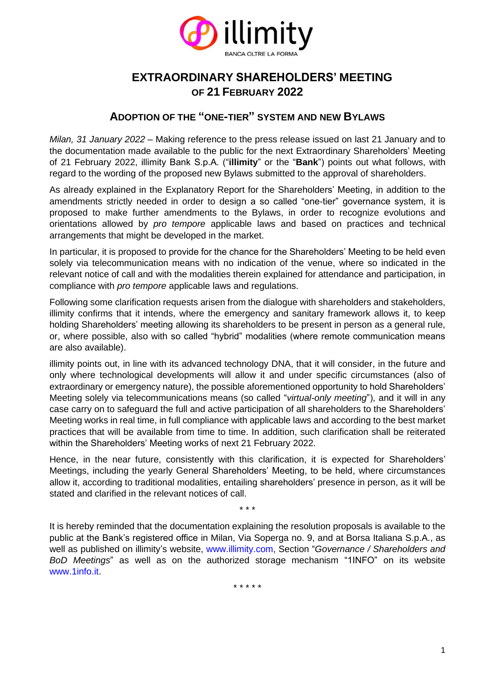

# **EXTRAORDINARY SHAREHOLDERS' MEETING OF 21 FEBRUARY 2022**

## **ADOPTION OF THE "ONE-TIER" SYSTEM AND NEW BYLAWS**

*Milan, 31 January 2022* – Making reference to the press release issued on last 21 January and to the documentation made available to the public for the next Extraordinary Shareholders' Meeting of 21 February 2022, illimity Bank S.p.A. ("**illimity**" or the "**Bank**") points out what follows, with regard to the wording of the proposed new Bylaws submitted to the approval of shareholders.

As already explained in the Explanatory Report for the Shareholders' Meeting, in addition to the amendments strictly needed in order to design a so called "one-tier" governance system, it is proposed to make further amendments to the Bylaws, in order to recognize evolutions and orientations allowed by *pro tempore* applicable laws and based on practices and technical arrangements that might be developed in the market.

In particular, it is proposed to provide for the chance for the Shareholders' Meeting to be held even solely via telecommunication means with no indication of the venue, where so indicated in the relevant notice of call and with the modalities therein explained for attendance and participation, in compliance with *pro tempore* applicable laws and regulations.

Following some clarification requests arisen from the dialogue with shareholders and stakeholders, illimity confirms that it intends, where the emergency and sanitary framework allows it, to keep holding Shareholders' meeting allowing its shareholders to be present in person as a general rule, or, where possible, also with so called "hybrid" modalities (where remote communication means are also available).

illimity points out, in line with its advanced technology DNA, that it will consider, in the future and only where technological developments will allow it and under specific circumstances (also of extraordinary or emergency nature), the possible aforementioned opportunity to hold Shareholders' Meeting solely via telecommunications means (so called "*virtual-only meeting*"), and it will in any case carry on to safeguard the full and active participation of all shareholders to the Shareholders' Meeting works in real time, in full compliance with applicable laws and according to the best market practices that will be available from time to time. In addition, such clarification shall be reiterated within the Shareholders' Meeting works of next 21 February 2022.

Hence, in the near future, consistently with this clarification, it is expected for Shareholders' Meetings, including the yearly General Shareholders' Meeting, to be held, where circumstances allow it, according to traditional modalities, entailing shareholders' presence in person, as it will be stated and clarified in the relevant notices of call.

\* \* \*

It is hereby reminded that the documentation explaining the resolution proposals is available to the public at the Bank's registered office in Milan, Via Soperga no. 9, and at Borsa Italiana S.p.A., as well as published on illimity's website, [www.illimity.com,](http://www.illimity.com/) Section "*Governance / Shareholders and BoD Meetings*" as well as on the authorized storage mechanism "1INFO" on its website [www.1info.it.](http://www.1info.it/)

\* \* \* \* \*